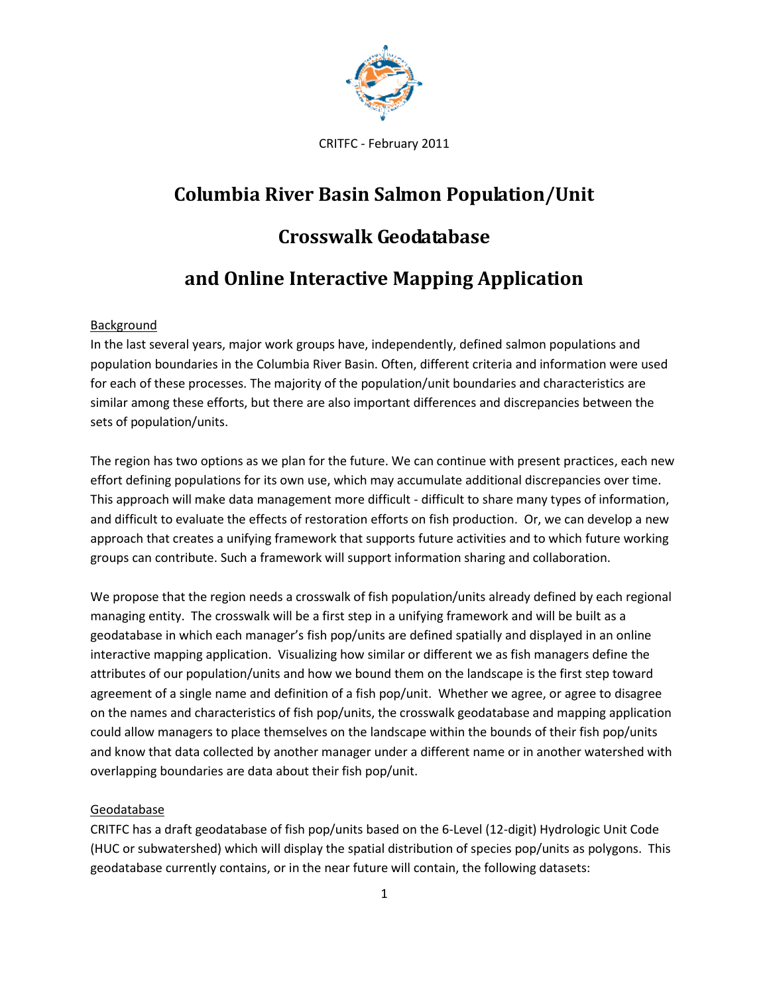

# **Columbia River Basin Salmon Population/Unit**

# **Crosswalk Geodatabase**

# **and Online Interactive Mapping Application**

## Background

In the last several years, major work groups have, independently, defined salmon populations and population boundaries in the Columbia River Basin. Often, different criteria and information were used for each of these processes. The majority of the population/unit boundaries and characteristics are similar among these efforts, but there are also important differences and discrepancies between the sets of population/units.

The region has two options as we plan for the future. We can continue with present practices, each new effort defining populations for its own use, which may accumulate additional discrepancies over time. This approach will make data management more difficult - difficult to share many types of information, and difficult to evaluate the effects of restoration efforts on fish production. Or, we can develop a new approach that creates a unifying framework that supports future activities and to which future working groups can contribute. Such a framework will support information sharing and collaboration.

We propose that the region needs a crosswalk of fish population/units already defined by each regional managing entity. The crosswalk will be a first step in a unifying framework and will be built as a geodatabase in which each manager's fish pop/units are defined spatially and displayed in an online interactive mapping application. Visualizing how similar or different we as fish managers define the attributes of our population/units and how we bound them on the landscape is the first step toward agreement of a single name and definition of a fish pop/unit. Whether we agree, or agree to disagree on the names and characteristics of fish pop/units, the crosswalk geodatabase and mapping application could allow managers to place themselves on the landscape within the bounds of their fish pop/units and know that data collected by another manager under a different name or in another watershed with overlapping boundaries are data about their fish pop/unit.

## Geodatabase

CRITFC has a draft geodatabase of fish pop/units based on the 6-Level (12-digit) Hydrologic Unit Code (HUC or subwatershed) which will display the spatial distribution of species pop/units as polygons. This geodatabase currently contains, or in the near future will contain, the following datasets: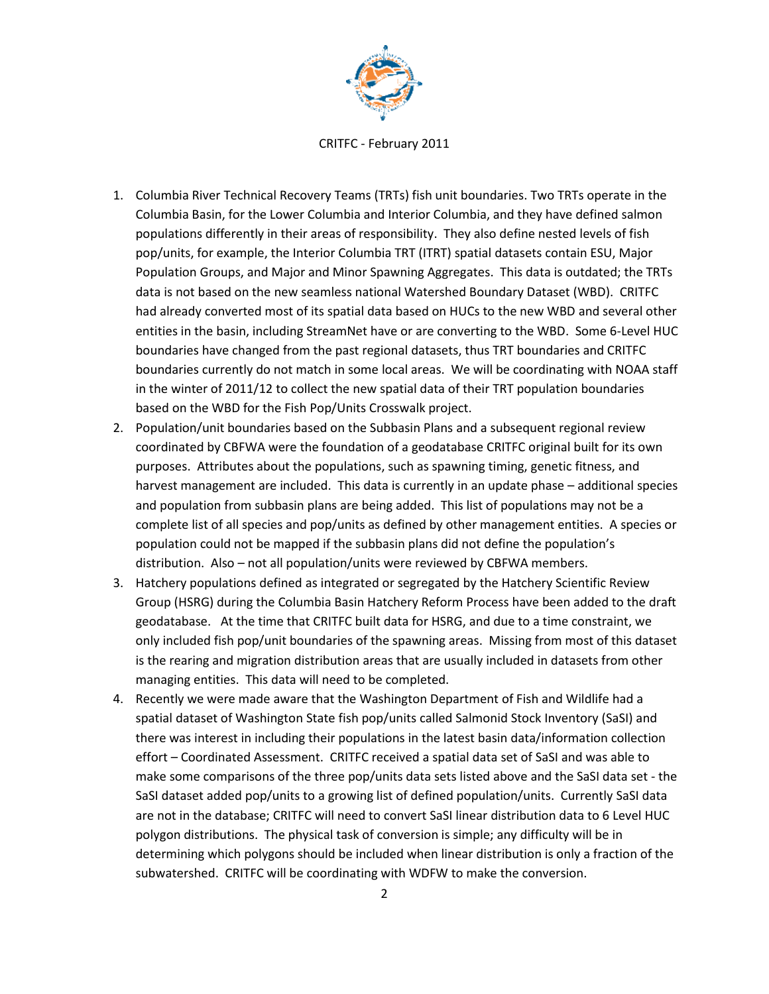

CRITFC - February 2011

- 1. Columbia River Technical Recovery Teams (TRTs) fish unit boundaries. Two TRTs operate in the Columbia Basin, for the Lower Columbia and Interior Columbia, and they have defined salmon populations differently in their areas of responsibility. They also define nested levels of fish pop/units, for example, the Interior Columbia TRT (ITRT) spatial datasets contain ESU, Major Population Groups, and Major and Minor Spawning Aggregates. This data is outdated; the TRTs data is not based on the new seamless national Watershed Boundary Dataset (WBD). CRITFC had already converted most of its spatial data based on HUCs to the new WBD and several other entities in the basin, including StreamNet have or are converting to the WBD. Some 6-Level HUC boundaries have changed from the past regional datasets, thus TRT boundaries and CRITFC boundaries currently do not match in some local areas. We will be coordinating with NOAA staff in the winter of 2011/12 to collect the new spatial data of their TRT population boundaries based on the WBD for the Fish Pop/Units Crosswalk project.
- 2. Population/unit boundaries based on the Subbasin Plans and a subsequent regional review coordinated by CBFWA were the foundation of a geodatabase CRITFC original built for its own purposes. Attributes about the populations, such as spawning timing, genetic fitness, and harvest management are included. This data is currently in an update phase – additional species and population from subbasin plans are being added. This list of populations may not be a complete list of all species and pop/units as defined by other management entities. A species or population could not be mapped if the subbasin plans did not define the population's distribution. Also – not all population/units were reviewed by CBFWA members.
- 3. Hatchery populations defined as integrated or segregated by the Hatchery Scientific Review Group (HSRG) during the Columbia Basin Hatchery Reform Process have been added to the draft geodatabase. At the time that CRITFC built data for HSRG, and due to a time constraint, we only included fish pop/unit boundaries of the spawning areas. Missing from most of this dataset is the rearing and migration distribution areas that are usually included in datasets from other managing entities. This data will need to be completed.
- 4. Recently we were made aware that the Washington Department of Fish and Wildlife had a spatial dataset of Washington State fish pop/units called Salmonid Stock Inventory (SaSI) and there was interest in including their populations in the latest basin data/information collection effort – Coordinated Assessment. CRITFC received a spatial data set of SaSI and was able to make some comparisons of the three pop/units data sets listed above and the SaSI data set - the SaSI dataset added pop/units to a growing list of defined population/units. Currently SaSI data are not in the database; CRITFC will need to convert SaSI linear distribution data to 6 Level HUC polygon distributions. The physical task of conversion is simple; any difficulty will be in determining which polygons should be included when linear distribution is only a fraction of the subwatershed. CRITFC will be coordinating with WDFW to make the conversion.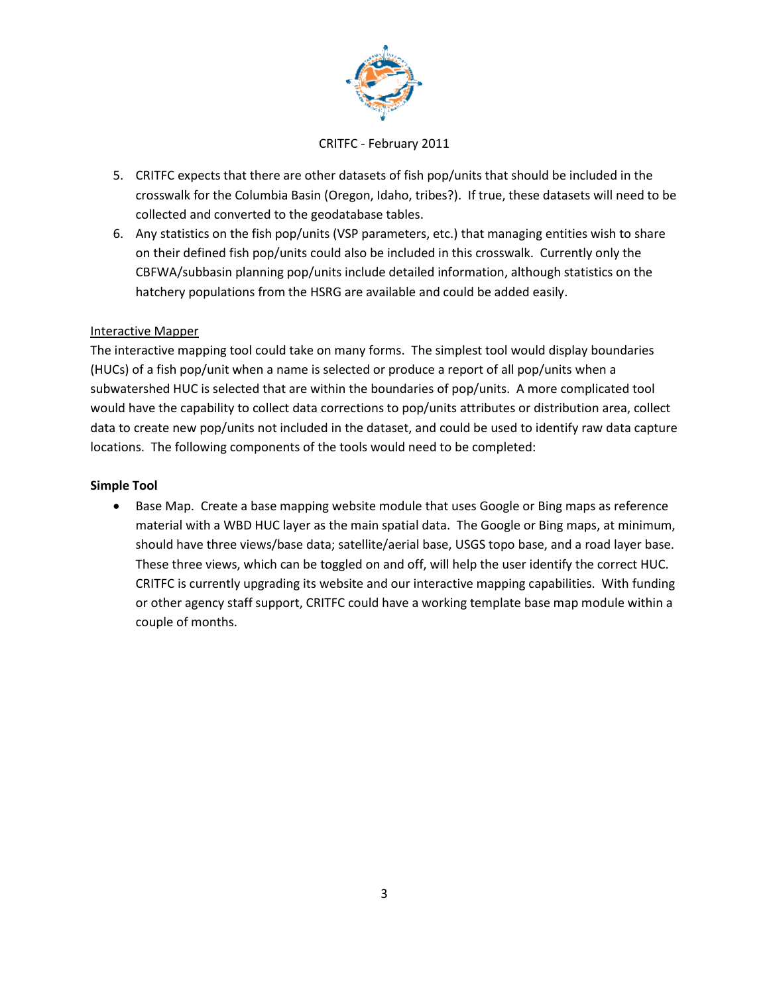

- 5. CRITFC expects that there are other datasets of fish pop/units that should be included in the crosswalk for the Columbia Basin (Oregon, Idaho, tribes?). If true, these datasets will need to be collected and converted to the geodatabase tables.
- 6. Any statistics on the fish pop/units (VSP parameters, etc.) that managing entities wish to share on their defined fish pop/units could also be included in this crosswalk. Currently only the CBFWA/subbasin planning pop/units include detailed information, although statistics on the hatchery populations from the HSRG are available and could be added easily.

### Interactive Mapper

The interactive mapping tool could take on many forms. The simplest tool would display boundaries (HUCs) of a fish pop/unit when a name is selected or produce a report of all pop/units when a subwatershed HUC is selected that are within the boundaries of pop/units. A more complicated tool would have the capability to collect data corrections to pop/units attributes or distribution area, collect data to create new pop/units not included in the dataset, and could be used to identify raw data capture locations. The following components of the tools would need to be completed:

### **Simple Tool**

• Base Map. Create a base mapping website module that uses Google or Bing maps as reference material with a WBD HUC layer as the main spatial data. The Google or Bing maps, at minimum, should have three views/base data; satellite/aerial base, USGS topo base, and a road layer base. These three views, which can be toggled on and off, will help the user identify the correct HUC. CRITFC is currently upgrading its website and our interactive mapping capabilities. With funding or other agency staff support, CRITFC could have a working template base map module within a couple of months.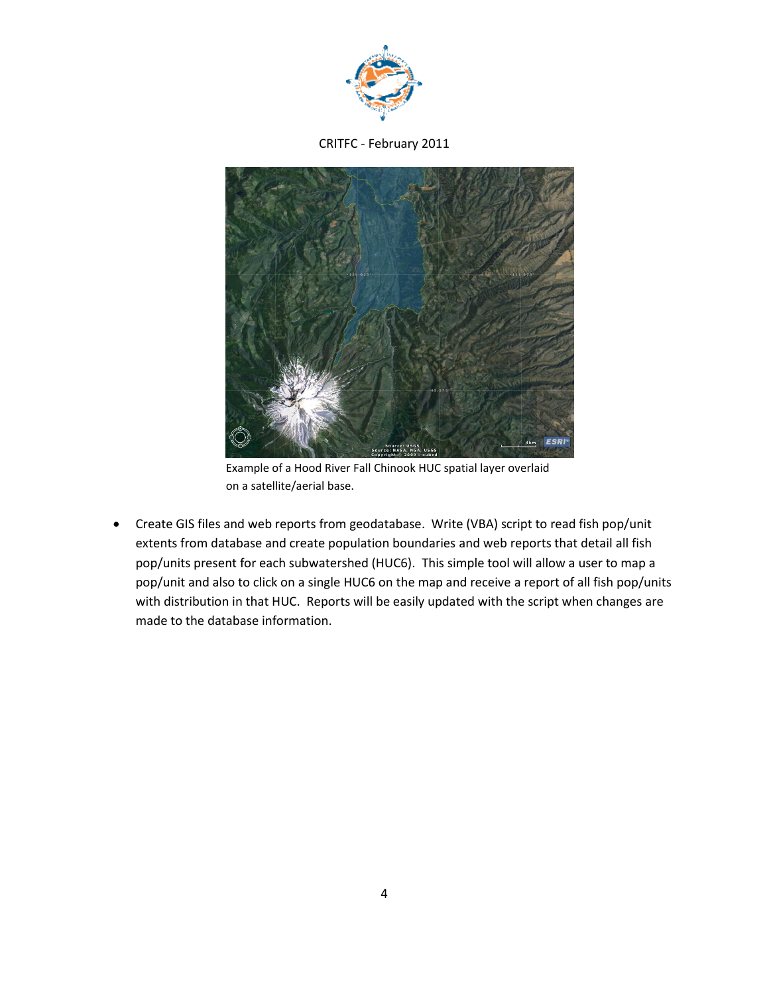



Example of a Hood River Fall Chinook HUC spatial layer overlaid on a satellite/aerial base.

 Create GIS files and web reports from geodatabase. Write (VBA) script to read fish pop/unit extents from database and create population boundaries and web reports that detail all fish pop/units present for each subwatershed (HUC6). This simple tool will allow a user to map a pop/unit and also to click on a single HUC6 on the map and receive a report of all fish pop/units with distribution in that HUC. Reports will be easily updated with the script when changes are made to the database information.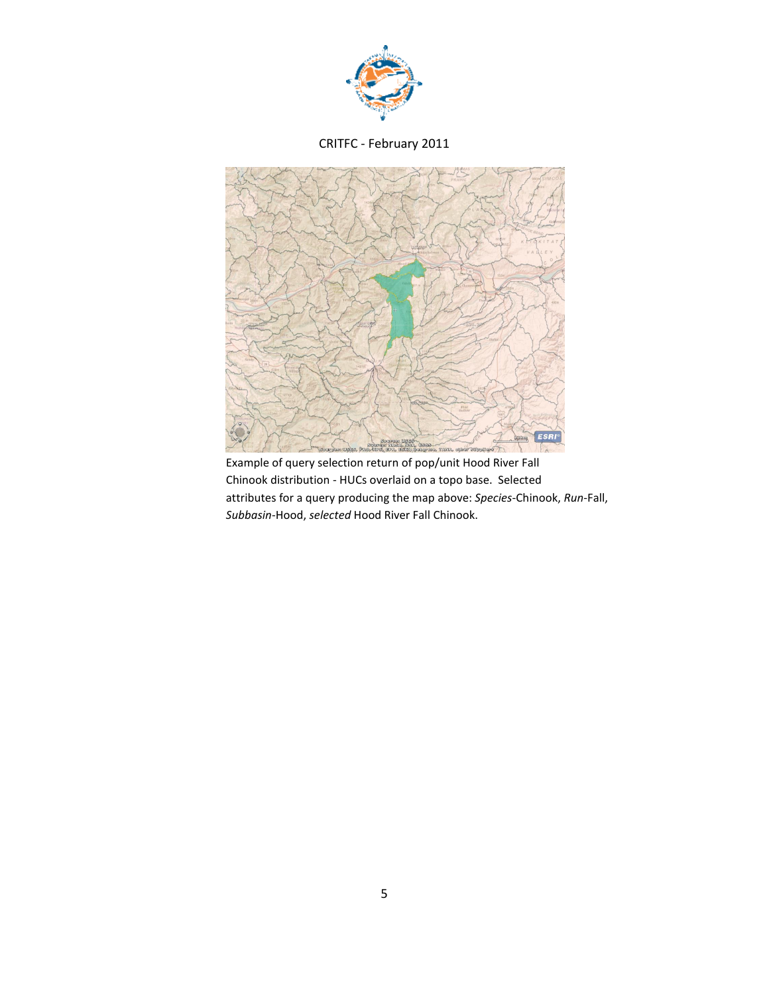



Example of query selection return of pop/unit Hood River Fall Chinook distribution - HUCs overlaid on a topo base. Selected attributes for a query producing the map above: *Species*-Chinook, *Run*-Fall, *Subbasin*-Hood, *selected* Hood River Fall Chinook.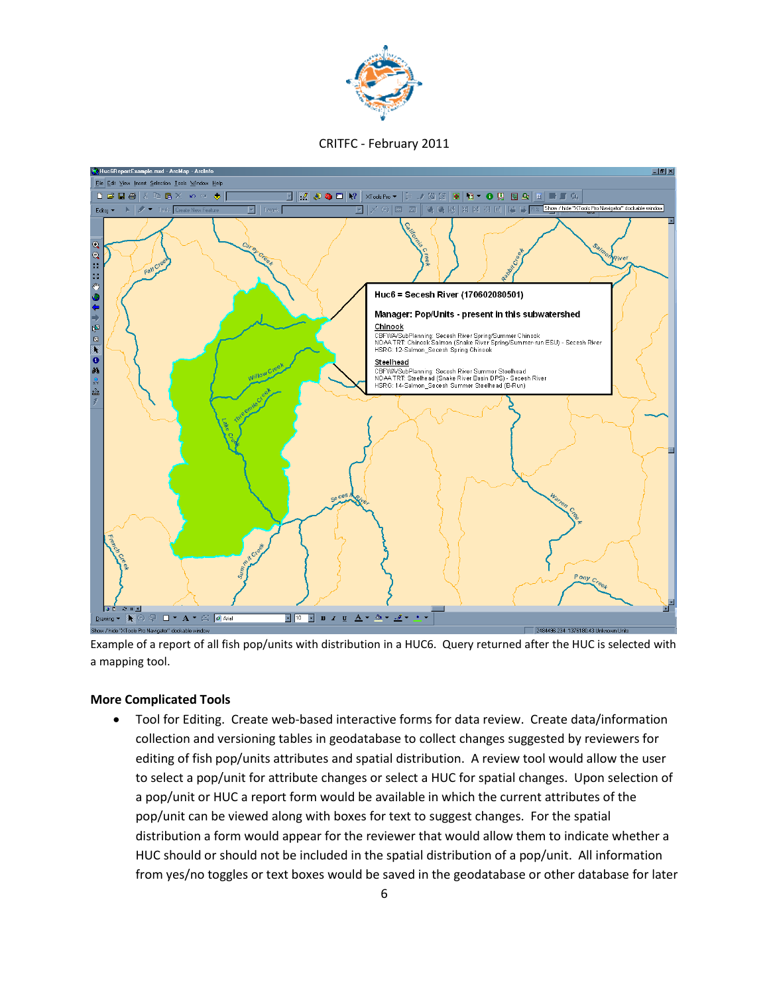



Example of a report of all fish pop/units with distribution in a HUC6. Query returned after the HUC is selected with a mapping tool.

#### **More Complicated Tools**

 Tool for Editing. Create web-based interactive forms for data review. Create data/information collection and versioning tables in geodatabase to collect changes suggested by reviewers for editing of fish pop/units attributes and spatial distribution. A review tool would allow the user to select a pop/unit for attribute changes or select a HUC for spatial changes. Upon selection of a pop/unit or HUC a report form would be available in which the current attributes of the pop/unit can be viewed along with boxes for text to suggest changes. For the spatial distribution a form would appear for the reviewer that would allow them to indicate whether a HUC should or should not be included in the spatial distribution of a pop/unit. All information from yes/no toggles or text boxes would be saved in the geodatabase or other database for later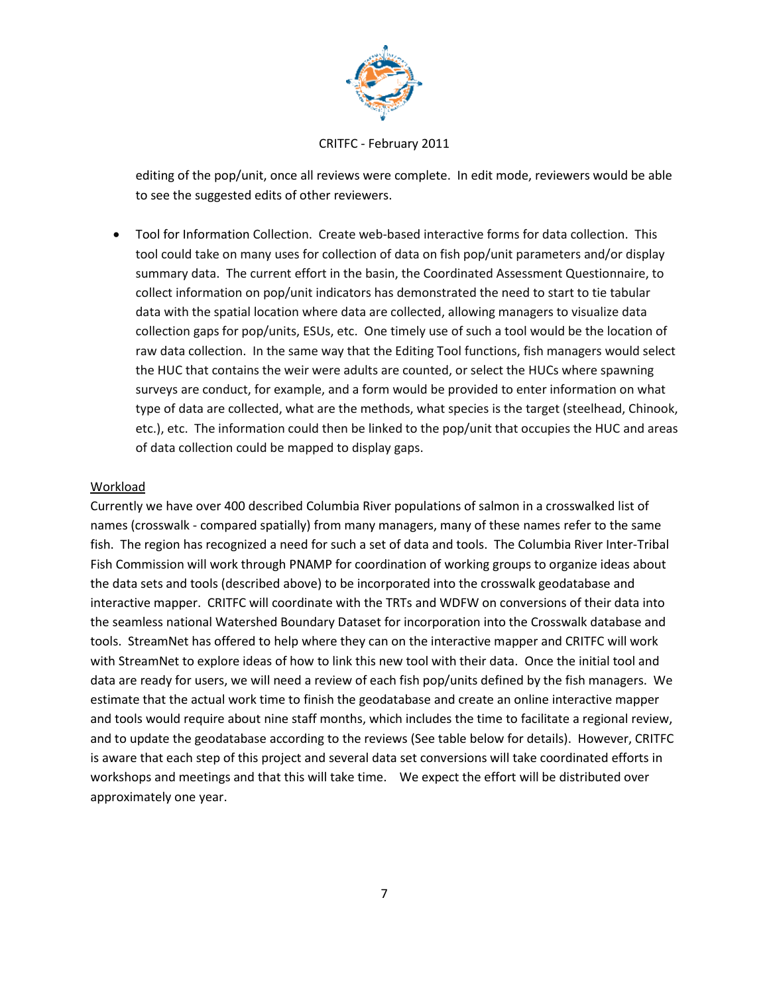

editing of the pop/unit, once all reviews were complete. In edit mode, reviewers would be able to see the suggested edits of other reviewers.

 Tool for Information Collection. Create web-based interactive forms for data collection. This tool could take on many uses for collection of data on fish pop/unit parameters and/or display summary data. The current effort in the basin, the Coordinated Assessment Questionnaire, to collect information on pop/unit indicators has demonstrated the need to start to tie tabular data with the spatial location where data are collected, allowing managers to visualize data collection gaps for pop/units, ESUs, etc. One timely use of such a tool would be the location of raw data collection. In the same way that the Editing Tool functions, fish managers would select the HUC that contains the weir were adults are counted, or select the HUCs where spawning surveys are conduct, for example, and a form would be provided to enter information on what type of data are collected, what are the methods, what species is the target (steelhead, Chinook, etc.), etc. The information could then be linked to the pop/unit that occupies the HUC and areas of data collection could be mapped to display gaps.

#### Workload

Currently we have over 400 described Columbia River populations of salmon in a crosswalked list of names (crosswalk - compared spatially) from many managers, many of these names refer to the same fish. The region has recognized a need for such a set of data and tools. The Columbia River Inter-Tribal Fish Commission will work through PNAMP for coordination of working groups to organize ideas about the data sets and tools (described above) to be incorporated into the crosswalk geodatabase and interactive mapper. CRITFC will coordinate with the TRTs and WDFW on conversions of their data into the seamless national Watershed Boundary Dataset for incorporation into the Crosswalk database and tools. StreamNet has offered to help where they can on the interactive mapper and CRITFC will work with StreamNet to explore ideas of how to link this new tool with their data. Once the initial tool and data are ready for users, we will need a review of each fish pop/units defined by the fish managers. We estimate that the actual work time to finish the geodatabase and create an online interactive mapper and tools would require about nine staff months, which includes the time to facilitate a regional review, and to update the geodatabase according to the reviews (See table below for details). However, CRITFC is aware that each step of this project and several data set conversions will take coordinated efforts in workshops and meetings and that this will take time. We expect the effort will be distributed over approximately one year.